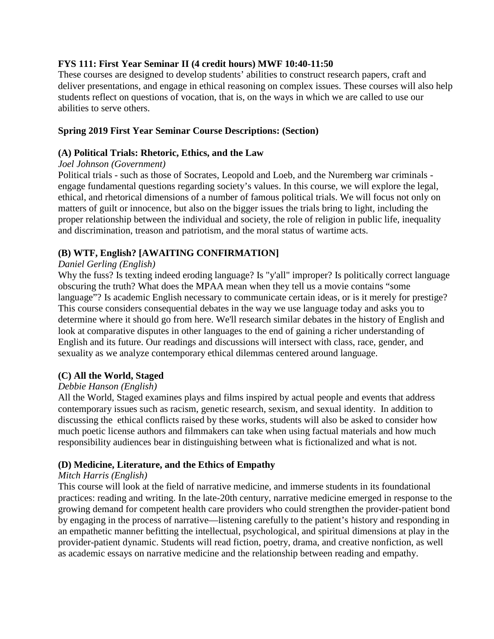# **FYS 111: First Year Seminar II (4 credit hours) MWF 10:40-11:50**

These courses are designed to develop students' abilities to construct research papers, craft and deliver presentations, and engage in ethical reasoning on complex issues. These courses will also help students reflect on questions of vocation, that is, on the ways in which we are called to use our abilities to serve others.

# **Spring 2019 First Year Seminar Course Descriptions: (Section)**

# **(A) Political Trials: Rhetoric, Ethics, and the Law**

# *Joel Johnson (Government)*

Political trials - such as those of Socrates, Leopold and Loeb, and the Nuremberg war criminals engage fundamental questions regarding society's values. In this course, we will explore the legal, ethical, and rhetorical dimensions of a number of famous political trials. We will focus not only on matters of guilt or innocence, but also on the bigger issues the trials bring to light, including the proper relationship between the individual and society, the role of religion in public life, inequality and discrimination, treason and patriotism, and the moral status of wartime acts.

# **(B) WTF, English? [AWAITING CONFIRMATION]**

# *Daniel Gerling (English)*

Why the fuss? Is texting indeed eroding language? Is "y'all" improper? Is politically correct language obscuring the truth? What does the MPAA mean when they tell us a movie contains "some language"? Is academic English necessary to communicate certain ideas, or is it merely for prestige? This course considers consequential debates in the way we use language today and asks you to determine where it should go from here. We'll research similar debates in the history of English and look at comparative disputes in other languages to the end of gaining a richer understanding of English and its future. Our readings and discussions will intersect with class, race, gender, and sexuality as we analyze contemporary ethical dilemmas centered around language.

# **(C) All the World, Staged**

# *Debbie Hanson (English)*

All the World, Staged examines plays and films inspired by actual people and events that address contemporary issues such as racism, genetic research, sexism, and sexual identity. In addition to discussing the ethical conflicts raised by these works, students will also be asked to consider how much poetic license authors and filmmakers can take when using factual materials and how much responsibility audiences bear in distinguishing between what is fictionalized and what is not.

# **(D) Medicine, Literature, and the Ethics of Empathy**

# *Mitch Harris (English)*

This course will look at the field of narrative medicine, and immerse students in its foundational practices: reading and writing. In the late-20th century, narrative medicine emerged in response to the growing demand for competent health care providers who could strengthen the provider-patient bond by engaging in the process of narrative—listening carefully to the patient's history and responding in an empathetic manner befitting the intellectual, psychological, and spiritual dimensions at play in the provider-patient dynamic. Students will read fiction, poetry, drama, and creative nonfiction, as well as academic essays on narrative medicine and the relationship between reading and empathy.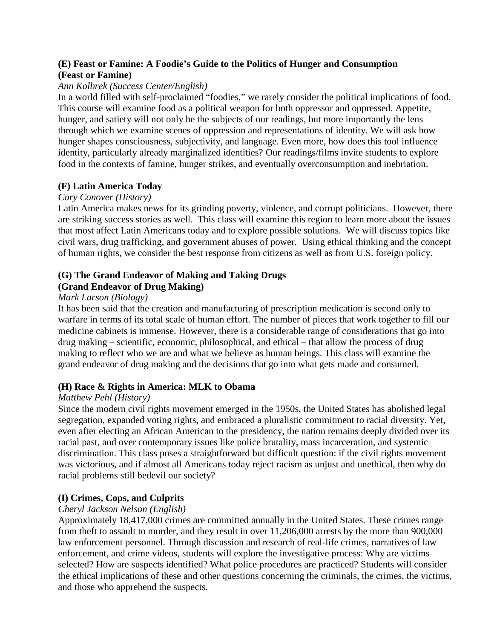# **(E) Feast or Famine: A Foodie's Guide to the Politics of Hunger and Consumption (Feast or Famine)**

# *Ann Kolbrek (Success Center/English)*

In a world filled with self-proclaimed "foodies," we rarely consider the political implications of food. This course will examine food as a political weapon for both oppressor and oppressed. Appetite, hunger, and satiety will not only be the subjects of our readings, but more importantly the lens through which we examine scenes of oppression and representations of identity. We will ask how hunger shapes consciousness, subjectivity, and language. Even more, how does this tool influence identity, particularly already marginalized identities? Our readings/films invite students to explore food in the contexts of famine, hunger strikes, and eventually overconsumption and inebriation.

# **(F) Latin America Today**

# *Cory Conover (History)*

Latin America makes news for its grinding poverty, violence, and corrupt politicians. However, there are striking success stories as well. This class will examine this region to learn more about the issues that most affect Latin Americans today and to explore possible solutions. We will discuss topics like civil wars, drug trafficking, and government abuses of power. Using ethical thinking and the concept of human rights, we consider the best response from citizens as well as from U.S. foreign policy.

# **(G) The Grand Endeavor of Making and Taking Drugs (Grand Endeavor of Drug Making)**

# *Mark Larson (Biology)*

It has been said that the creation and manufacturing of prescription medication is second only to warfare in terms of its total scale of human effort. The number of pieces that work together to fill our medicine cabinets is immense. However, there is a considerable range of considerations that go into drug making – scientific, economic, philosophical, and ethical – that allow the process of drug making to reflect who we are and what we believe as human beings. This class will examine the grand endeavor of drug making and the decisions that go into what gets made and consumed.

# **(H) Race & Rights in America: MLK to Obama**

# *Matthew Pehl (History)*

Since the modern civil rights movement emerged in the 1950s, the United States has abolished legal segregation, expanded voting rights, and embraced a pluralistic commitment to racial diversity. Yet, even after electing an African American to the presidency, the nation remains deeply divided over its racial past, and over contemporary issues like police brutality, mass incarceration, and systemic discrimination. This class poses a straightforward but difficult question: if the civil rights movement was victorious, and if almost all Americans today reject racism as unjust and unethical, then why do racial problems still bedevil our society?

# **(I) Crimes, Cops, and Culprits**

# *Cheryl Jackson Nelson (English)*

Approximately 18,417,000 crimes are committed annually in the United States. These crimes range from theft to assault to murder, and they result in over 11,206,000 arrests by the more than 900,000 law enforcement personnel. Through discussion and research of real-life crimes, narratives of law enforcement, and crime videos, students will explore the investigative process: Why are victims selected? How are suspects identified? What police procedures are practiced? Students will consider the ethical implications of these and other questions concerning the criminals, the crimes, the victims, and those who apprehend the suspects.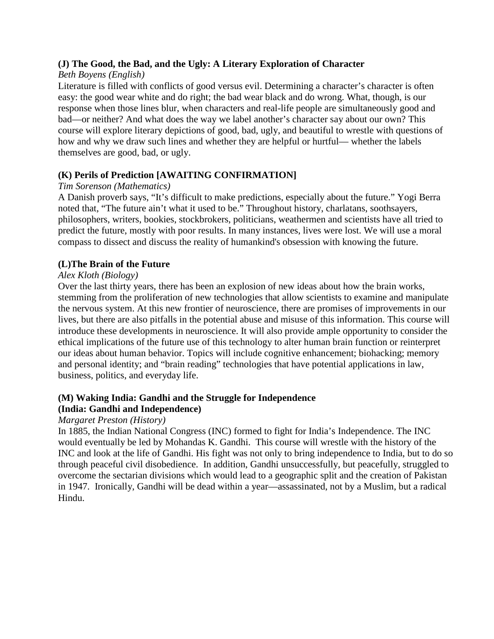# **(J) The Good, the Bad, and the Ugly: A Literary Exploration of Character**

# *Beth Boyens (English)*

Literature is filled with conflicts of good versus evil. Determining a character's character is often easy: the good wear white and do right; the bad wear black and do wrong. What, though, is our response when those lines blur, when characters and real-life people are simultaneously good and bad—or neither? And what does the way we label another's character say about our own? This course will explore literary depictions of good, bad, ugly, and beautiful to wrestle with questions of how and why we draw such lines and whether they are helpful or hurtful— whether the labels themselves are good, bad, or ugly.

# **(K) Perils of Prediction [AWAITING CONFIRMATION]**

# *Tim Sorenson (Mathematics)*

A Danish proverb says, "It's difficult to make predictions, especially about the future." Yogi Berra noted that, "The future ain't what it used to be." Throughout history, charlatans, soothsayers, philosophers, writers, bookies, stockbrokers, politicians, weathermen and scientists have all tried to predict the future, mostly with poor results. In many instances, lives were lost. We will use a moral compass to dissect and discuss the reality of humankind's obsession with knowing the future.

# **(L)The Brain of the Future**

# *Alex Kloth (Biology)*

Over the last thirty years, there has been an explosion of new ideas about how the brain works, stemming from the proliferation of new technologies that allow scientists to examine and manipulate the nervous system. At this new frontier of neuroscience, there are promises of improvements in our lives, but there are also pitfalls in the potential abuse and misuse of this information. This course will introduce these developments in neuroscience. It will also provide ample opportunity to consider the ethical implications of the future use of this technology to alter human brain function or reinterpret our ideas about human behavior. Topics will include cognitive enhancement; biohacking; memory and personal identity; and "brain reading" technologies that have potential applications in law, business, politics, and everyday life.

# **(M) Waking India: Gandhi and the Struggle for Independence (India: Gandhi and Independence)**

# *Margaret Preston (History)*

In 1885, the Indian National Congress (INC) formed to fight for India's Independence. The INC would eventually be led by Mohandas K. Gandhi. This course will wrestle with the history of the INC and look at the life of Gandhi. His fight was not only to bring independence to India, but to do so through peaceful civil disobedience. In addition, Gandhi unsuccessfully, but peacefully, struggled to overcome the sectarian divisions which would lead to a geographic split and the creation of Pakistan in 1947. Ironically, Gandhi will be dead within a year—assassinated, not by a Muslim, but a radical Hindu.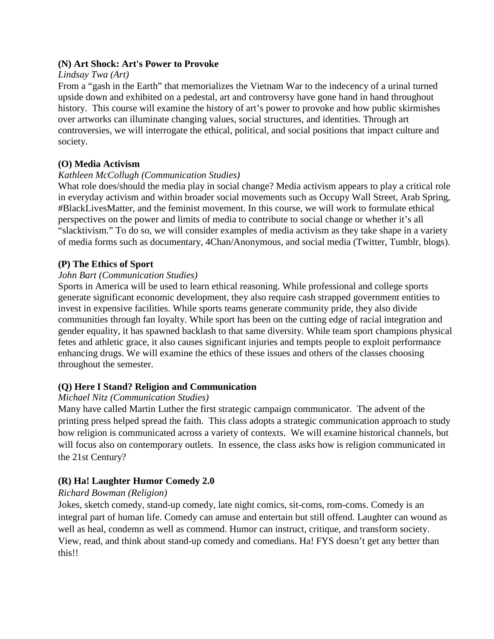#### **(N) Art Shock: Art's Power to Provoke**

#### *Lindsay Twa (Art)*

From a "gash in the Earth" that memorializes the Vietnam War to the indecency of a urinal turned upside down and exhibited on a pedestal, art and controversy have gone hand in hand throughout history. This course will examine the history of art's power to provoke and how public skirmishes over artworks can illuminate changing values, social structures, and identities. Through art controversies, we will interrogate the ethical, political, and social positions that impact culture and society.

#### **(O) Media Activism**

#### *Kathleen McCollugh (Communication Studies)*

What role does/should the media play in social change? Media activism appears to play a critical role in everyday activism and within broader social movements such as Occupy Wall Street, Arab Spring, #BlackLivesMatter, and the feminist movement. In this course, we will work to formulate ethical perspectives on the power and limits of media to contribute to social change or whether it's all "slacktivism." To do so, we will consider examples of media activism as they take shape in a variety of media forms such as documentary, 4Chan/Anonymous, and social media (Twitter, Tumblr, blogs).

#### **(P) The Ethics of Sport**

#### *John Bart (Communication Studies)*

Sports in America will be used to learn ethical reasoning. While professional and college sports generate significant economic development, they also require cash strapped government entities to invest in expensive facilities. While sports teams generate community pride, they also divide communities through fan loyalty. While sport has been on the cutting edge of racial integration and gender equality, it has spawned backlash to that same diversity. While team sport champions physical fetes and athletic grace, it also causes significant injuries and tempts people to exploit performance enhancing drugs. We will examine the ethics of these issues and others of the classes choosing throughout the semester.

# **(Q) Here I Stand? Religion and Communication**

# *Michael Nitz (Communication Studies)*

Many have called Martin Luther the first strategic campaign communicator. The advent of the printing press helped spread the faith. This class adopts a strategic communication approach to study how religion is communicated across a variety of contexts. We will examine historical channels, but will focus also on contemporary outlets. In essence, the class asks how is religion communicated in the 21st Century?

# **(R) Ha! Laughter Humor Comedy 2.0**

#### *Richard Bowman (Religion)*

Jokes, sketch comedy, stand-up comedy, late night comics, sit-coms, rom-coms. Comedy is an integral part of human life. Comedy can amuse and entertain but still offend. Laughter can wound as well as heal, condemn as well as commend. Humor can instruct, critique, and transform society. View, read, and think about stand-up comedy and comedians. Ha! FYS doesn't get any better than this!!